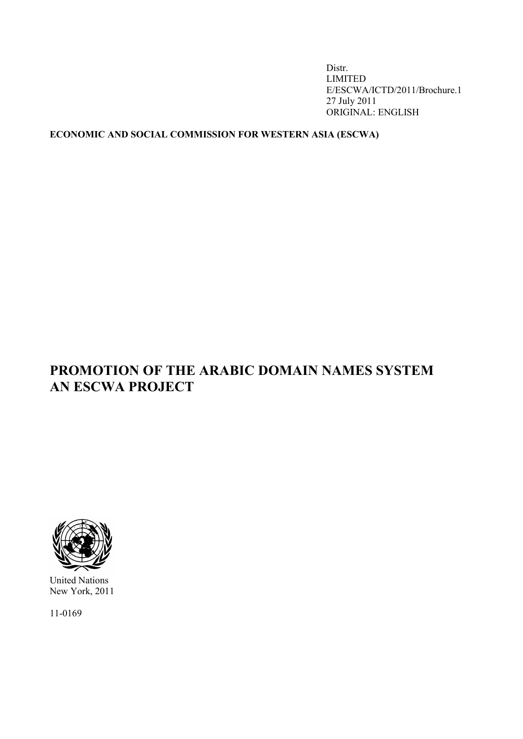Distr. LIMITED E/ESCWA/ICTD/2011/Brochure.1 27 July 2011 ORIGINAL: ENGLISH

## **ECONOMIC AND SOCIAL COMMISSION FOR WESTERN ASIA (ESCWA)**

# **PROMOTION OF THE ARABIC DOMAIN NAMES SYSTEM AN ESCWA PROJECT**



United Nations New York, 2011

11-0169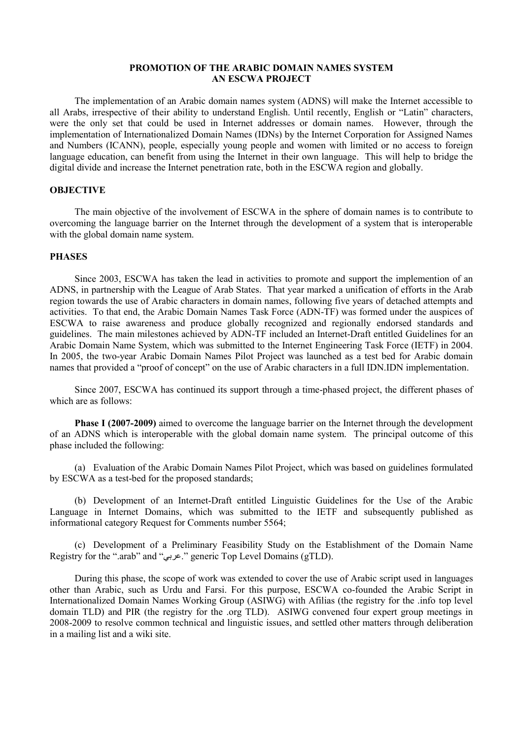#### **PROMOTION OF THE ARABIC DOMAIN NAMES SYSTEM AN ESCWA PROJECT**

The implementation of an Arabic domain names system (ADNS) will make the Internet accessible to all Arabs, irrespective of their ability to understand English. Until recently, English or "Latin" characters, were the only set that could be used in Internet addresses or domain names. However, through the implementation of Internationalized Domain Names (IDNs) by the Internet Corporation for Assigned Names and Numbers (ICANN), people, especially young people and women with limited or no access to foreign language education, can benefit from using the Internet in their own language. This will help to bridge the digital divide and increase the Internet penetration rate, both in the ESCWA region and globally.

#### **OBJECTIVE**

The main objective of the involvement of ESCWA in the sphere of domain names is to contribute to overcoming the language barrier on the Internet through the development of a system that is interoperable with the global domain name system.

#### **PHASES**

Since 2003, ESCWA has taken the lead in activities to promote and support the implemention of an ADNS, in partnership with the League of Arab States. That year marked a unification of efforts in the Arab region towards the use of Arabic characters in domain names, following five years of detached attempts and activities. To that end, the Arabic Domain Names Task Force (ADN-TF) was formed under the auspices of ESCWA to raise awareness and produce globally recognized and regionally endorsed standards and guidelines. The main milestones achieved by ADN-TF included an Internet-Draft entitled Guidelines for an Arabic Domain Name System, which was submitted to the Internet Engineering Task Force (IETF) in 2004. In 2005, the two-year Arabic Domain Names Pilot Project was launched as a test bed for Arabic domain names that provided a "proof of concept" on the use of Arabic characters in a full IDN.IDN implementation.

Since 2007, ESCWA has continued its support through a time-phased project, the different phases of which are as follows:

**Phase I (2007-2009)** aimed to overcome the language barrier on the Internet through the development of an ADNS which is interoperable with the global domain name system. The principal outcome of this phase included the following:

(a) Evaluation of the Arabic Domain Names Pilot Project, which was based on guidelines formulated by ESCWA as a test-bed for the proposed standards;

(b) Development of an Internet-Draft entitled Linguistic Guidelines for the Use of the Arabic Language in Internet Domains, which was submitted to the IETF and subsequently published as informational category Request for Comments number 5564;

(c) Development of a Preliminary Feasibility Study on the Establishment of the Domain Name Registry for the ".arab" and "عربي. "generic Top Level Domains (gTLD).

During this phase, the scope of work was extended to cover the use of Arabic script used in languages other than Arabic, such as Urdu and Farsi. For this purpose, ESCWA co-founded the Arabic Script in Internationalized Domain Names Working Group (ASIWG) with Afilias (the registry for the .info top level domain TLD) and PIR (the registry for the .org TLD). ASIWG convened four expert group meetings in 2008-2009 to resolve common technical and linguistic issues, and settled other matters through deliberation in a mailing list and a wiki site.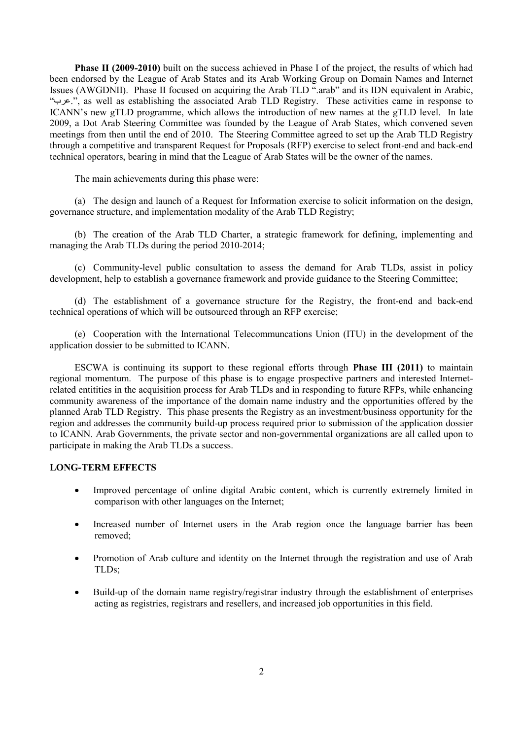**Phase II (2009-2010)** built on the success achieved in Phase I of the project, the results of which had been endorsed by the League of Arab States and its Arab Working Group on Domain Names and Internet Issues (AWGDNII). Phase II focused on acquiring the Arab TLD ".arab" and its IDN equivalent in Arabic, "عرب.", as well as establishing the associated Arab TLD Registry. These activities came in response to ICANN's new gTLD programme, which allows the introduction of new names at the gTLD level. In late 2009, a Dot Arab Steering Committee was founded by the League of Arab States, which convened seven meetings from then until the end of 2010. The Steering Committee agreed to set up the Arab TLD Registry through a competitive and transparent Request for Proposals (RFP) exercise to select front-end and back-end technical operators, bearing in mind that the League of Arab States will be the owner of the names.

The main achievements during this phase were:

(a) The design and launch of a Request for Information exercise to solicit information on the design, governance structure, and implementation modality of the Arab TLD Registry;

(b) The creation of the Arab TLD Charter, a strategic framework for defining, implementing and managing the Arab TLDs during the period 2010-2014;

(c) Community-level public consultation to assess the demand for Arab TLDs, assist in policy development, help to establish a governance framework and provide guidance to the Steering Committee;

(d) The establishment of a governance structure for the Registry, the front-end and back-end technical operations of which will be outsourced through an RFP exercise;

(e) Cooperation with the International Telecommuncations Union (ITU) in the development of the application dossier to be submitted to ICANN.

ESCWA is continuing its support to these regional efforts through **Phase III (2011)** to maintain regional momentum. The purpose of this phase is to engage prospective partners and interested Internetrelated entitities in the acquisition process for Arab TLDs and in responding to future RFPs, while enhancing community awareness of the importance of the domain name industry and the opportunities offered by the planned Arab TLD Registry. This phase presents the Registry as an investment/business opportunity for the region and addresses the community build-up process required prior to submission of the application dossier to ICANN. Arab Governments, the private sector and non-governmental organizations are all called upon to participate in making the Arab TLDs a success.

#### **LONG-TERM EFFECTS**

- Improved percentage of online digital Arabic content, which is currently extremely limited in comparison with other languages on the Internet;
- Increased number of Internet users in the Arab region once the language barrier has been removed;
- Promotion of Arab culture and identity on the Internet through the registration and use of Arab TLDs;
- Build-up of the domain name registry/registrar industry through the establishment of enterprises acting as registries, registrars and resellers, and increased job opportunities in this field.